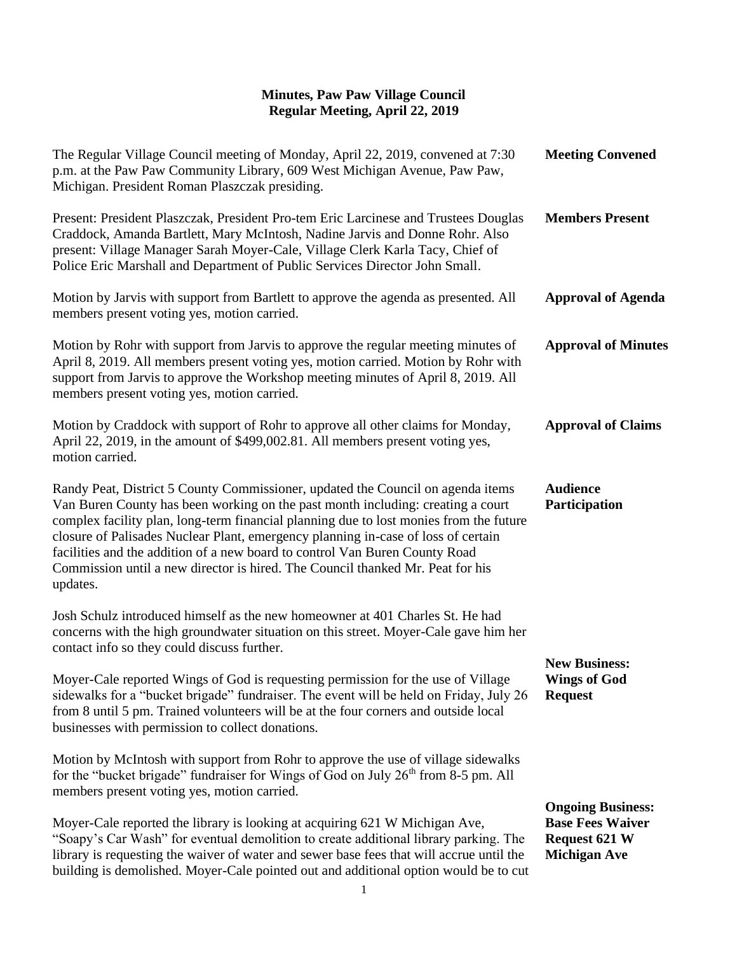## **Minutes, Paw Paw Village Council Regular Meeting, April 22, 2019**

| The Regular Village Council meeting of Monday, April 22, 2019, convened at 7:30<br>p.m. at the Paw Paw Community Library, 609 West Michigan Avenue, Paw Paw,<br>Michigan. President Roman Plaszczak presiding.                                                                                                                                                                                                                                                                                                                 | <b>Meeting Convened</b>                                                                            |
|--------------------------------------------------------------------------------------------------------------------------------------------------------------------------------------------------------------------------------------------------------------------------------------------------------------------------------------------------------------------------------------------------------------------------------------------------------------------------------------------------------------------------------|----------------------------------------------------------------------------------------------------|
| Present: President Plaszczak, President Pro-tem Eric Larcinese and Trustees Douglas<br>Craddock, Amanda Bartlett, Mary McIntosh, Nadine Jarvis and Donne Rohr. Also<br>present: Village Manager Sarah Moyer-Cale, Village Clerk Karla Tacy, Chief of<br>Police Eric Marshall and Department of Public Services Director John Small.                                                                                                                                                                                            | <b>Members Present</b>                                                                             |
| Motion by Jarvis with support from Bartlett to approve the agenda as presented. All<br>members present voting yes, motion carried.                                                                                                                                                                                                                                                                                                                                                                                             | <b>Approval of Agenda</b>                                                                          |
| Motion by Rohr with support from Jarvis to approve the regular meeting minutes of<br>April 8, 2019. All members present voting yes, motion carried. Motion by Rohr with<br>support from Jarvis to approve the Workshop meeting minutes of April 8, 2019. All<br>members present voting yes, motion carried.                                                                                                                                                                                                                    | <b>Approval of Minutes</b>                                                                         |
| Motion by Craddock with support of Rohr to approve all other claims for Monday,<br>April 22, 2019, in the amount of \$499,002.81. All members present voting yes,<br>motion carried.                                                                                                                                                                                                                                                                                                                                           | <b>Approval of Claims</b>                                                                          |
| Randy Peat, District 5 County Commissioner, updated the Council on agenda items<br>Van Buren County has been working on the past month including: creating a court<br>complex facility plan, long-term financial planning due to lost monies from the future<br>closure of Palisades Nuclear Plant, emergency planning in-case of loss of certain<br>facilities and the addition of a new board to control Van Buren County Road<br>Commission until a new director is hired. The Council thanked Mr. Peat for his<br>updates. | <b>Audience</b><br>Participation                                                                   |
| Josh Schulz introduced himself as the new homeowner at 401 Charles St. He had<br>concerns with the high groundwater situation on this street. Moyer-Cale gave him her<br>contact info so they could discuss further.                                                                                                                                                                                                                                                                                                           | <b>New Business:</b><br><b>Wings of God</b><br><b>Request</b>                                      |
| Moyer-Cale reported Wings of God is requesting permission for the use of Village<br>sidewalks for a "bucket brigade" fundraiser. The event will be held on Friday, July 26<br>from 8 until 5 pm. Trained volunteers will be at the four corners and outside local<br>businesses with permission to collect donations.                                                                                                                                                                                                          |                                                                                                    |
| Motion by McIntosh with support from Rohr to approve the use of village sidewalks<br>for the "bucket brigade" fundraiser for Wings of God on July $26th$ from 8-5 pm. All<br>members present voting yes, motion carried.                                                                                                                                                                                                                                                                                                       |                                                                                                    |
| Moyer-Cale reported the library is looking at acquiring 621 W Michigan Ave,<br>"Soapy's Car Wash" for eventual demolition to create additional library parking. The<br>library is requesting the waiver of water and sewer base fees that will accrue until the<br>building is demolished. Moyer-Cale pointed out and additional option would be to cut                                                                                                                                                                        | <b>Ongoing Business:</b><br><b>Base Fees Waiver</b><br><b>Request 621 W</b><br><b>Michigan Ave</b> |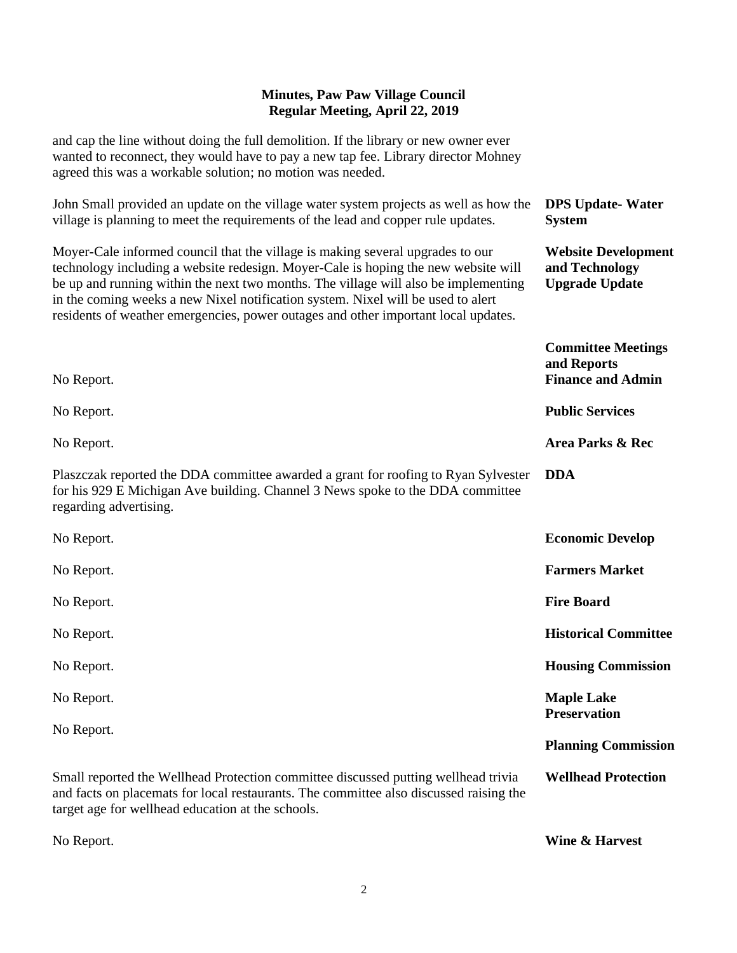## **Minutes, Paw Paw Village Council Regular Meeting, April 22, 2019**

and cap the line without doing the full demolition. If the library or new owner ever wanted to reconnect, they would have to pay a new tap fee. Library director Mohney agreed this was a workable solution; no motion was needed.

| agreed this was a workable solution; no motion was needed.                                                                                                                                                                                                                                                                                                                                                                            |                                                                       |
|---------------------------------------------------------------------------------------------------------------------------------------------------------------------------------------------------------------------------------------------------------------------------------------------------------------------------------------------------------------------------------------------------------------------------------------|-----------------------------------------------------------------------|
| John Small provided an update on the village water system projects as well as how the<br>village is planning to meet the requirements of the lead and copper rule updates.                                                                                                                                                                                                                                                            | <b>DPS Update-Water</b><br><b>System</b>                              |
| Moyer-Cale informed council that the village is making several upgrades to our<br>technology including a website redesign. Moyer-Cale is hoping the new website will<br>be up and running within the next two months. The village will also be implementing<br>in the coming weeks a new Nixel notification system. Nixel will be used to alert<br>residents of weather emergencies, power outages and other important local updates. | <b>Website Development</b><br>and Technology<br><b>Upgrade Update</b> |
| No Report.                                                                                                                                                                                                                                                                                                                                                                                                                            | <b>Committee Meetings</b><br>and Reports<br><b>Finance and Admin</b>  |
| No Report.                                                                                                                                                                                                                                                                                                                                                                                                                            | <b>Public Services</b>                                                |
| No Report.                                                                                                                                                                                                                                                                                                                                                                                                                            | Area Parks & Rec                                                      |
| Plaszczak reported the DDA committee awarded a grant for roofing to Ryan Sylvester<br>for his 929 E Michigan Ave building. Channel 3 News spoke to the DDA committee<br>regarding advertising.                                                                                                                                                                                                                                        | <b>DDA</b>                                                            |
| No Report.                                                                                                                                                                                                                                                                                                                                                                                                                            | <b>Economic Develop</b>                                               |
| No Report.                                                                                                                                                                                                                                                                                                                                                                                                                            | <b>Farmers Market</b>                                                 |
| No Report.                                                                                                                                                                                                                                                                                                                                                                                                                            | <b>Fire Board</b>                                                     |
| No Report.                                                                                                                                                                                                                                                                                                                                                                                                                            | <b>Historical Committee</b>                                           |
| No Report.                                                                                                                                                                                                                                                                                                                                                                                                                            | <b>Housing Commission</b>                                             |
| No Report.                                                                                                                                                                                                                                                                                                                                                                                                                            | <b>Maple Lake</b><br><b>Preservation</b>                              |
| No Report.                                                                                                                                                                                                                                                                                                                                                                                                                            | <b>Planning Commission</b>                                            |
| Small reported the Wellhead Protection committee discussed putting wellhead trivia<br>and facts on placemats for local restaurants. The committee also discussed raising the<br>target age for wellhead education at the schools.                                                                                                                                                                                                     | <b>Wellhead Protection</b>                                            |
|                                                                                                                                                                                                                                                                                                                                                                                                                                       |                                                                       |

**Wine & Harvest**

No Report.